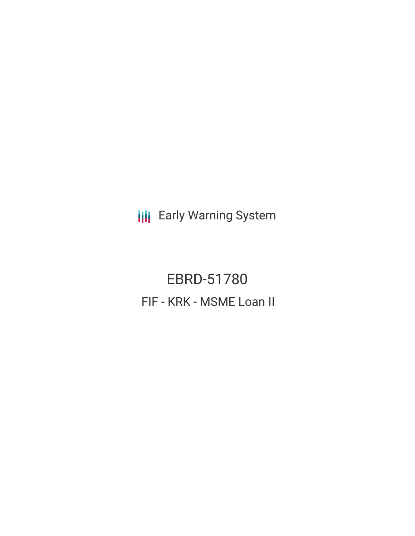**III** Early Warning System

EBRD-51780 FIF - KRK - MSME Loan II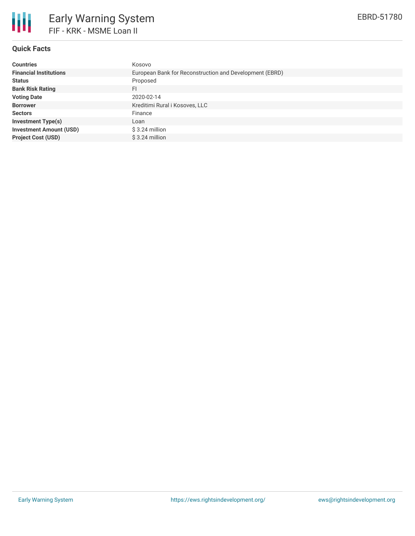

# **Quick Facts**

| <b>Countries</b>               | Kosovo                                                  |
|--------------------------------|---------------------------------------------------------|
| <b>Financial Institutions</b>  | European Bank for Reconstruction and Development (EBRD) |
| <b>Status</b>                  | Proposed                                                |
| <b>Bank Risk Rating</b>        | FI                                                      |
| <b>Voting Date</b>             | 2020-02-14                                              |
| <b>Borrower</b>                | Kreditimi Rural i Kosoves, LLC                          |
| <b>Sectors</b>                 | Finance                                                 |
| <b>Investment Type(s)</b>      | Loan                                                    |
| <b>Investment Amount (USD)</b> | \$3.24 million                                          |
| <b>Project Cost (USD)</b>      | $$3.24$ million                                         |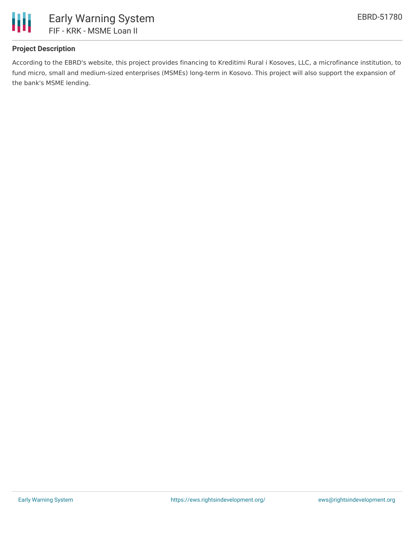

## **Project Description**

According to the EBRD's website, this project provides financing to Kreditimi Rural i Kosoves, LLC, a microfinance institution, to fund micro, small and medium-sized enterprises (MSMEs) long-term in Kosovo. This project will also support the expansion of the bank's MSME lending.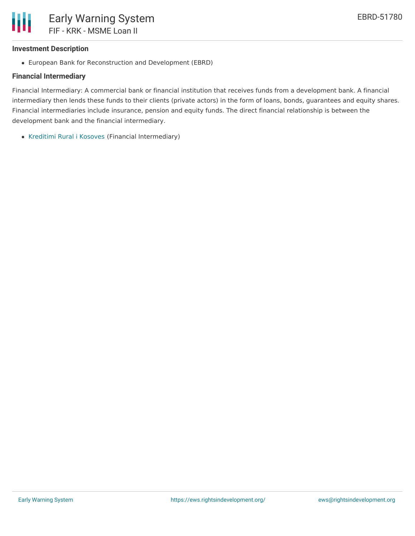#### **Investment Description**

European Bank for Reconstruction and Development (EBRD)

### **Financial Intermediary**

Financial Intermediary: A commercial bank or financial institution that receives funds from a development bank. A financial intermediary then lends these funds to their clients (private actors) in the form of loans, bonds, guarantees and equity shares. Financial intermediaries include insurance, pension and equity funds. The direct financial relationship is between the development bank and the financial intermediary.

• [Kreditimi](file:///actor/1243/) Rural i Kosoves (Financial Intermediary)